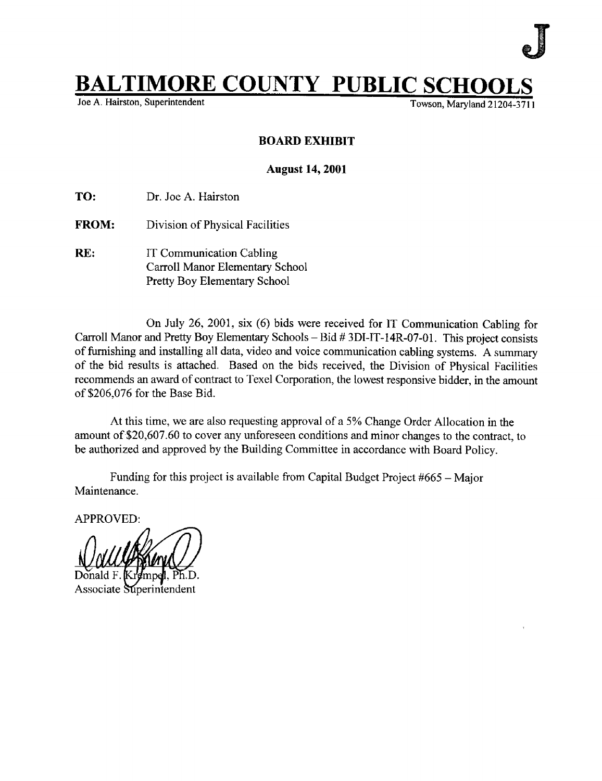## $\begin{array}{ll}\n \textbf{IMORE COUNTY} & \textbf{PUBLIC SCHOOLS}\n \textbf{Fuylerification} & \textbf{Fuyler} & \textbf{Fuyland 21204-3711}\n \end{array}$

Joe A. Hairston, Superintendent

## BOARD EXHIBIT

## August 14, 2001

TO: Dr. Joe A. Hairston

- FROM: Division of Physical Facilities
- RE: IT Communication Cabling Carroll Manor Elementary School Pretty Boy Elementary School

On July 26, 2001, six (6) bids were received for IT Communication Cabling for Carroll Manor and Pretty Boy Elementary Schools - Bid # 3DI-IT-14R-07-01. This project consists of furnishing and installing all data, video and voice communication cabling systems. A summary of the bid results is attached. Based on the bids received, the Division of Physical Facilities recommends an award of contract to Texel Corporation, the lowest responsive bidder, in the amount of \$206,076 for the Base Bid.

At this time, we are also requesting approval of a 5% Change Order Allocation in the amount of \$20,607 .60 to cover any unforeseen conditions and minor changes to the contract, to be authorized and approved by the Building Committee in accordance with Board Policy.

Funding for this project is available from Capital Budget Project #665 – Major Maintenance .

APPROVED :

Associate Superintendent